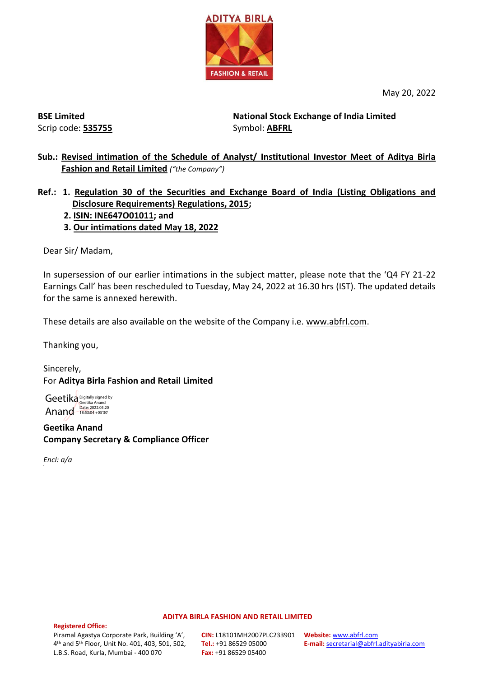

May 20, 2022

**BSE Limited** Scrip code: **535755**

**National Stock Exchange of India Limited**  Symbol: **ABFRL**

- **Sub.: Revised intimation of the Schedule of Analyst/ Institutional Investor Meet of Aditya Birla Fashion and Retail Limited** *("the Company")*
- **Ref.: 1. Regulation 30 of the Securities and Exchange Board of India (Listing Obligations and Disclosure Requirements) Regulations, 2015;**
	- **2. ISIN: INE647O01011; and**
	- **3. Our intimations dated May 18, 2022**

Dear Sir/ Madam,

In supersession of our earlier intimations in the subject matter, please note that the 'Q4 FY 21-22 Earnings Call' has been rescheduled to Tuesday, May 24, 2022 at 16.30 hrs (IST). The updated details for the same is annexed herewith.

These details are also available on the website of the Company i.e. [www.abfrl.com.](http://www.abfrl.com/)

Thanking you,

Sincerely, For **Aditya Birla Fashion and Retail Limited**

Geetika Digitally signed by Anand Date: 2022.05.20

**Geetika Anand Company Secretary & Compliance Officer**

*Encl: a/a*

E

#### **ADITYA BIRLA FASHION AND RETAIL LIMITED**

**Registered Office:**